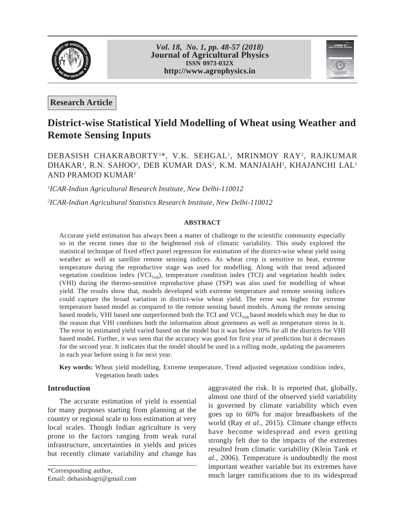

*Vol. 18, No. 1, pp. 48-57 (2018)* **Journal of Agricultural Physics ISSN 0973-032X http://www.agrophysics.in**



**Research Article**

# **District-wise Statistical Yield Modelling of Wheat using Weather and Remote Sensing Inputs**

# DEBASISH CHAKRABORTY<sup>1\*</sup>, V.K. SEHGAL<sup>1</sup>, MRINMOY RAY<sup>2</sup>, RAJKUMAR DHAKAR<sup>1</sup>, R.N. SAHOO<sup>1</sup>, DEB KUMAR DAS<sup>1</sup>, K.M. MANJAIAH<sup>1</sup>, KHAJANCHI LAL<sup>1</sup> AND PRAMOD KUMAR1

*1 ICAR-Indian Agricultural Research Institute, New Delhi-110012*

*2 ICAR-Indian Agricultural Statistics Research Institute, New Delhi-110012*

## **ABSTRACT**

Accurate yield estimation has always been a matter of challenge to the scientific community especially so in the recent times due to the heightened risk of climatic variability. This study explored the statistical technique of fixed effect panel regression for estimation of the district-wise wheat yield using weather as well as satellite remote sensing indices. As wheat crop is sensitive to heat, extreme temperature during the reproductive stage was used for modelling. Along with that trend adjusted vegetation condition index  $(VCI_{\text{Tadj}})$ , temperature condition index (TCI) and vegetation health index (VHI) during the thermo-sensitive reproductive phase (TSP) was also used for modelling of wheat yield. The results show that, models developed with extreme temperature and remote sensing indices could capture the broad variation in district-wise wheat yield. The error was higher for extreme temperature based model as compared to the remote sensing based models. Among the remote sensing based models, VHI based one outperformed both the TCI and VCI<sub>Tadj</sub> based models which may be due to the reason that VHI combines both the information about greenness as well as temperature stress in it. The error in estimated yield varied based on the model but it was below 10% for all the districts for VHI based model. Further, it was seen that the accuracy was good for first year of prediction but it decreases for the second year. It indicates that the model should be used in a rolling mode, updating the parameters in each year before using it for next year.

**Key words:** Wheat yield modelling, Extreme temperature, Trend adjusted vegetation condition index, Vegetation heath index

# **Introduction**

The accurate estimation of yield is essential for many purposes starting from planning at the country or regional scale to loss estimation at very local scales. Though Indian agriculture is very prone to the factors ranging from weak rural infrastructure, uncertainties in yields and prices but recently climate variability and change has

Email: debasishagri@gmail.com

aggravated the risk. It is reported that, globally, almost one third of the observed yield variability is governed by climate variability which even goes up to 60% for major breadbaskets of the world (Ray *et al*., 2015). Climate change effects have become widespread and even getting strongly felt due to the impacts of the extremes resulted from climatic variability (Klein Tank *et al*., 2006). Temperature is undoubtedly the most important weather variable but its extremes have \*Corresponding author,<br>
Finally debesite particle corresponding author,<br>
much larger ramifications due to its widespread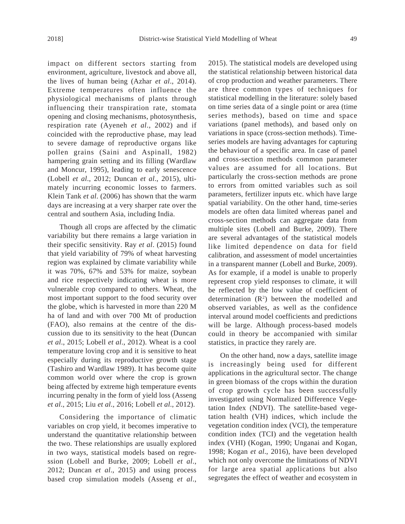impact on different sectors starting from environment, agriculture, livestock and above all, the lives of human being (Azhar *et al*., 2014). Extreme temperatures often influence the physiological mechanisms of plants through influencing their transpiration rate, stomata opening and closing mechanisms, photosynthesis, respiration rate (Ayeneh *et al*., 2002) and if coincided with the reproductive phase, may lead to severe damage of reproductive organs like pollen grains (Saini and Aspinall, 1982) hampering grain setting and its filling (Wardlaw and Moncur, 1995), leading to early senescence (Lobell *et al*., 2012; Duncan *et al*., 2015), ultimately incurring economic losses to farmers. Klein Tank *et al*. (2006) has shown that the warm days are increasing at a very sharper rate over the central and southern Asia, including India.

Though all crops are affected by the climatic variability but there remains a large variation in their specific sensitivity. Ray *et al*. (2015) found that yield variability of 79% of wheat harvesting region was explained by climate variability while it was 70%, 67% and 53% for maize, soybean and rice respectively indicating wheat is more vulnerable crop compared to others. Wheat, the most important support to the food security over the globe, which is harvested in more than 220 M ha of land and with over 700 Mt of production (FAO), also remains at the centre of the discussion due to its sensitivity to the heat (Duncan *et al*., 2015; Lobell *et al*., 2012). Wheat is a cool temperature loving crop and it is sensitive to heat especially during its reproductive growth stage (Tashiro and Wardlaw 1989). It has become quite common world over where the crop is grown being affected by extreme high temperature events incurring penalty in the form of yield loss (Asseng *et al*., 2015; Liu *et al*., 2016; Lobell *et al*., 2012).

Considering the importance of climatic variables on crop yield, it becomes imperative to understand the quantitative relationship between the two. These relationships are usually explored in two ways, statistical models based on regression (Lobell and Burke, 2009; Lobell *et al*., 2012; Duncan *et al*., 2015) and using process based crop simulation models (Asseng *et al*., 2015). The statistical models are developed using the statistical relationship between historical data of crop production and weather parameters. There are three common types of techniques for statistical modelling in the literature: solely based on time series data of a single point or area (time series methods), based on time and space variations (panel methods), and based only on variations in space (cross-section methods). Timeseries models are having advantages for capturing the behaviour of a specific area. In case of panel and cross-section methods common parameter values are assumed for all locations. But particularly the cross-section methods are prone to errors from omitted variables such as soil parameters, fertilizer inputs etc. which have large spatial variability. On the other hand, time-series models are often data limited whereas panel and cross-section methods can aggregate data from multiple sites (Lobell and Burke, 2009). There are several advantages of the statistical models like limited dependence on data for field calibration, and assessment of model uncertainties in a transparent manner (Lobell and Burke, 2009). As for example, if a model is unable to properly represent crop yield responses to climate, it will be reflected by the low value of coefficient of determination  $(R^2)$  between the modelled and observed variables, as well as the confidence interval around model coefficients and predictions will be large. Although process-based models could in theory be accompanied with similar statistics, in practice they rarely are.

On the other hand, now a days, satellite image is increasingly being used for different applications in the agricultural sector. The change in green biomass of the crops within the duration of crop growth cycle has been successfully investigated using Normalized Difference Vegetation Index (NDVI). The satellite-based vegetation health (VH) indices, which include the vegetation condition index (VCI), the temperature condition index (TCI) and the vegetation health index (VHI) (Kogan, 1990; Unganai and Kogan, 1998; Kogan *et al*., 2016), have been developed which not only overcome the limitations of NDVI for large area spatial applications but also segregates the effect of weather and ecosystem in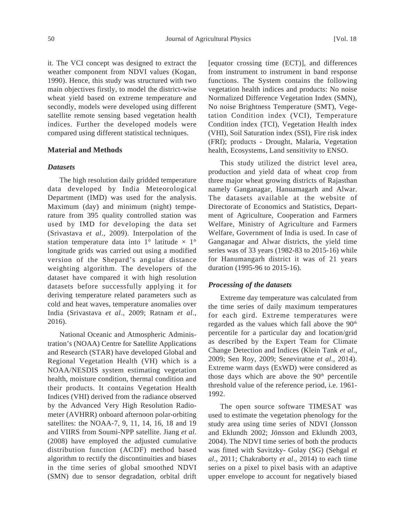it. The VCI concept was designed to extract the weather component from NDVI values (Kogan, 1990). Hence, this study was structured with two main objectives firstly, to model the district-wise wheat yield based on extreme temperature and secondly, models were developed using different satellite remote sensing based vegetation health indices. Further the developed models were compared using different statistical techniques.

# **Material and Methods**

#### *Datasets*

The high resolution daily gridded temperature data developed by India Meteorological Department (IMD) was used for the analysis. Maximum (day) and minimum (night) temperature from 395 quality controlled station was used by IMD for developing the data set (Srivastava *et al*., 2009). Interpolation of the station temperature data into  $1^{\circ}$  latitude  $\times$   $1^{\circ}$ longitude grids was carried out using a modified version of the Shepard's angular distance weighting algorithm. The developers of the dataset have compared it with high resolution datasets before successfully applying it for deriving temperature related parameters such as cold and heat waves, temperature anomalies over India (Srivastava *et al*., 2009; Ratnam *et al*., 2016).

National Oceanic and Atmospheric Administration's (NOAA) Centre for Satellite Applications and Research (STAR) have developed Global and Regional Vegetation Health (VH) which is a NOAA/NESDIS system estimating vegetation health, moisture condition, thermal condition and their products. It contains Vegetation Health Indices (VHI) derived from the radiance observed by the Advanced Very High Resolution Radiometer (AVHRR) onboard afternoon polar-orbiting satellites: the NOAA-7, 9, 11, 14, 16, 18 and 19 and VIIRS from Soumi-NPP satellite. Jiang *et al*. (2008) have employed the adjusted cumulative distribution function (ACDF) method based algorithm to rectify the discontinuities and biases in the time series of global smoothed NDVI (SMN) due to sensor degradation, orbital drift [equator crossing time (ECT)], and differences from instrument to instrument in band response functions. The System contains the following vegetation health indices and products: No noise Normalized Difference Vegetation Index (SMN), No noise Brightness Temperature (SMT), Vegetation Condition index (VCI), Temperature Condition index (TCI), Vegetation Health index (VHI), Soil Saturation index (SSI), Fire risk index (FRI); products - Drought, Malaria, Vegetation health, Ecosystems, Land sensitivity to ENSO.

This study utilized the district level area, production and yield data of wheat crop from three major wheat growing districts of Rajasthan namely Ganganagar, Hanuamagarh and Alwar. The datasets available at the website of Directorate of Economics and Statistics, Department of Agriculture, Cooperation and Farmers Welfare, Ministry of Agriculture and Farmers Welfare, Government of India is used. In case of Ganganagar and Alwar districts, the yield time series was of 33 years (1982-83 to 2015-16) while for Hanumangarh district it was of 21 years duration (1995-96 to 2015-16).

# *Processing of the datasets*

Extreme day temperature was calculated from the time series of daily maximum temperatures for each gird. Extreme temperatures were regarded as the values which fall above the 90<sup>th</sup> percentile for a particular day and location/grid as described by the Expert Team for Climate Change Detection and Indices (Klein Tank *et al*., 2009; Sen Roy, 2009; Seneviratne *et al*., 2014). Extreme warm days (ExWD) were considered as those days which are above the  $90<sup>th</sup>$  percentile threshold value of the reference period, i.e. 1961- 1992.

The open source software TIMESAT was used to estimate the vegetation phenology for the study area using time series of NDVI (Jonsson and Eklundh 2002; Jönsson and Eklundh 2003, 2004). The NDVI time series of both the products was fitted with Savitzky- Golay (SG) (Sehgal *et al*., 2011; Chakraborty *et al*., 2014) to each time series on a pixel to pixel basis with an adaptive upper envelope to account for negatively biased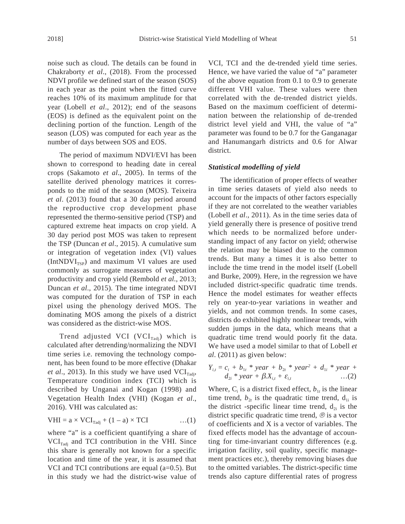noise such as cloud. The details can be found in Chakraborty *et al*., (2018). From the processed NDVI profile we defined start of the season (SOS) in each year as the point when the fitted curve reaches 10% of its maximum amplitude for that year (Lobell *et al*., 2012); end of the seasons (EOS) is defined as the equivalent point on the declining portion of the function. Length of the season (LOS) was computed for each year as the number of days between SOS and EOS.

The period of maximum NDVI/EVI has been shown to correspond to heading date in cereal crops (Sakamoto *et al*., 2005). In terms of the satellite derived phenology matrices it corresponds to the mid of the season (MOS). Teixeira *et al*. (2013) found that a 30 day period around the reproductive crop development phase represented the thermo-sensitive period (TSP) and captured extreme heat impacts on crop yield. A 30 day period post MOS was taken to represent the TSP (Duncan *et al*., 2015). A cumulative sum or integration of vegetation index (VI) values  $(IntNDVI<sub>TSP</sub>)$  and maximum VI values are used commonly as surrogate measures of vegetation productivity and crop yield (Rembold *et al*., 2013; Duncan *et al*., 2015). The time integrated NDVI was computed for the duration of TSP in each pixel using the phenology derived MOS. The dominating MOS among the pixels of a district was considered as the district-wise MOS.

Trend adjusted VCI (VCI $_{\text{radj}}$ ) which is calculated after detrending/normalizing the NDVI time series i.e. removing the technology component, has been found to be more effective (Dhakar *et al.*, 2013). In this study we have used  $VCI_{\text{radi}}$ , Temperature condition index (TCI) which is described by Unganai and Kogan (1998) and Vegetation Health Index (VHI) (Kogan *et al*., 2016). VHI was calculated as:

$$
VHI = a \times VCI_{\text{radj}} + (1 - a) \times TCI \qquad \qquad \dots (1)
$$

where "a" is a coefficient quantifying a share of  $\text{VCI}_{\text{radi}}$  and TCI contribution in the VHI. Since this share is generally not known for a specific location and time of the year, it is assumed that VCI and TCI contributions are equal  $(a=0.5)$ . But in this study we had the district-wise value of VCI, TCI and the de-trended yield time series. Hence, we have varied the value of "a" parameter of the above equation from 0.1 to 0.9 to generate different VHI value. These values were then correlated with the de-trended district yields. Based on the maximum coefficient of determination between the relationship of de-trended district level yield and VHI, the value of "a" parameter was found to be 0.7 for the Ganganagar and Hanumangarh districts and 0.6 for Alwar district.

# *Statistical modelling of yield*

The identification of proper effects of weather in time series datasets of yield also needs to account for the impacts of other factors especially if they are not correlated to the weather variables (Lobell *et al*., 2011). As in the time series data of yield generally there is presence of positive trend which needs to be normalized before understanding impact of any factor on yield; otherwise the relation may be biased due to the common trends. But many a times it is also better to include the time trend in the model itself (Lobell and Burke, 2009). Here, in the regression we have included district-specific quadratic time trends. Hence the model estimates for weather effects rely on year-to-year variations in weather and yields, and not common trends. In some cases, districts do exhibited highly nonlinear trends, with sudden jumps in the data, which means that a quadratic time trend would poorly fit the data. We have used a model similar to that of Lobell *et al*. (2011) as given below:

$$
Y_{i,t} = c_i + b_{1t} * year + b_{2t} * year^{2} + d_{1i} * year + d_{2i} * year + \beta X_{i,t} + \varepsilon_{i,t} \qquad ...(2)
$$

Where,  $C_i$  is a district fixed effect,  $b_{1t}$  is the linear time trend,  $b_{2t}$  is the quadratic time trend,  $d_{1i}$  is the district -specific linear time trend,  $d_{2i}$  is the district specific quadratic time trend, ® is a vector of coefficients and X is a vector of variables. The fixed effects model has the advantage of accounting for time-invariant country differences (e.g. irrigation facility, soil quality, specific management practices etc.), thereby removing biases due to the omitted variables. The district-specific time trends also capture differential rates of progress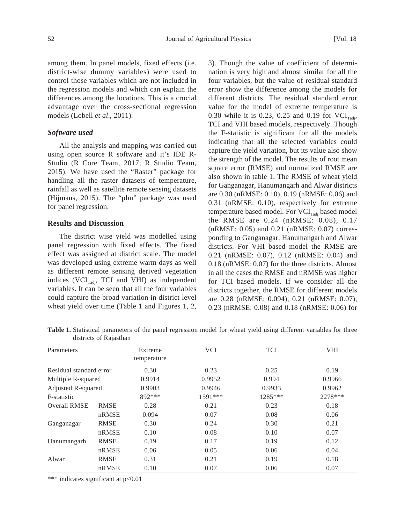among them. In panel models, fixed effects (i.e. district-wise dummy variables) were used to control those variables which are not included in the regression models and which can explain the differences among the locations. This is a crucial advantage over the cross-sectional regression models (Lobell *et al*., 2011).

## *Software used*

All the analysis and mapping was carried out using open source R software and it's IDE R-Studio (R Core Team, 2017; R Studio Team, 2015). We have used the "Raster" package for handling all the raster datasets of temperature, rainfall as well as satellite remote sensing datasets (Hijmans, 2015). The "plm" package was used for panel regression.

# **Results and Discussion**

The district wise yield was modelled using panel regression with fixed effects. The fixed effect was assigned at district scale. The model was developed using extreme warm days as well as different remote sensing derived vegetation indices ( $VCI_{\text{rad}}$ , TCI and VHI) as independent variables. It can be seen that all the four variables could capture the broad variation in district level wheat yield over time (Table 1 and Figures 1, 2, 3). Though the value of coefficient of determination is very high and almost similar for all the four variables, but the value of residual standard error show the difference among the models for different districts. The residual standard error value for the model of extreme temperature is 0.30 while it is 0.23, 0.25 and 0.19 for  $\text{VCI}_{\text{Tadi}}$ , TCI and VHI based models, respectively. Though the F-statistic is significant for all the models indicating that all the selected variables could capture the yield variation, but its value also show the strength of the model. The results of root mean square error (RMSE) and normalized RMSE are also shown in table 1. The RMSE of wheat yield for Ganganagar, Hanumangarh and Alwar districts are 0.30 (nRMSE: 0.10), 0.19 (nRMSE: 0.06) and 0.31 (nRMSE: 0.10), respectively for extreme temperature based model. For  $\text{VCI}_{\text{radi}}$  based model the RMSE are 0.24 (nRMSE: 0.08), 0.17 (nRMSE: 0.05) and 0.21 (nRMSE: 0.07) corresponding to Ganganagar, Hanumangarh and Alwar districts. For VHI based model the RMSE are 0.21 (nRMSE: 0.07), 0.12 (nRMSE: 0.04) and 0.18 (nRMSE: 0.07) for the three districts. Almost in all the cases the RMSE and nRMSE was higher for TCI based models. If we consider all the districts together, the RMSE for different models are 0.28 (nRMSE: 0.094), 0.21 (nRMSE: 0.07), 0.23 (nRMSE: 0.08) and 0.18 (nRMSE: 0.06) for

**Table 1.** Statistical parameters of the panel regression model for wheat yield using different variables for three districts of Rajasthan

| Parameters              |             | Extreme<br>temperature | <b>VCI</b> | <b>TCI</b> | <b>VHI</b> |
|-------------------------|-------------|------------------------|------------|------------|------------|
| Residual standard error |             | 0.30                   | 0.23       | 0.25       | 0.19       |
| Multiple R-squared      |             | 0.9914                 | 0.9952     | 0.994      | 0.9966     |
| Adjusted R-squared      |             | 0.9903                 | 0.9946     | 0.9933     | 0.9962     |
| F-statistic             |             | 892 ***                | 1591***    | 1285***    | 2278 ***   |
| <b>Overall RMSE</b>     | <b>RMSE</b> | 0.28                   | 0.21       | 0.23       | 0.18       |
|                         | nRMSE       | 0.094                  | 0.07       | 0.08       | 0.06       |
| Ganganagar              | <b>RMSE</b> | 0.30                   | 0.24       | 0.30       | 0.21       |
|                         | nRMSE       | 0.10                   | 0.08       | 0.10       | 0.07       |
| Hanumangarh             | <b>RMSE</b> | 0.19                   | 0.17       | 0.19       | 0.12       |
|                         | nRMSE       | 0.06                   | 0.05       | 0.06       | 0.04       |
| Alwar                   | <b>RMSE</b> | 0.31                   | 0.21       | 0.19       | 0.18       |
|                         | nRMSE       | 0.10                   | 0.07       | 0.06       | 0.07       |

\*\*\* indicates significant at p<0.01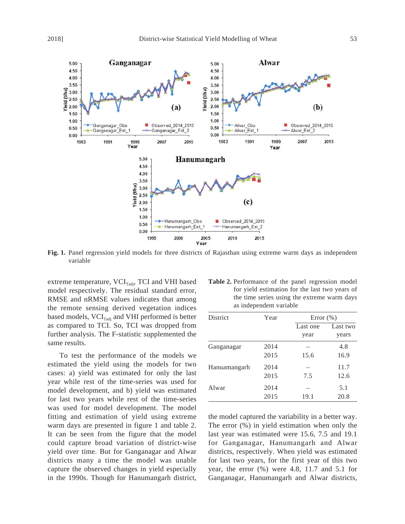

**Fig. 1.** Panel regression yield models for three districts of Rajasthan using extreme warm days as independent variable

extreme temperature, VCI<sub>Tadj</sub>, TCI and VHI based model respectively. The residual standard error, RMSE and nRMSE values indicates that among the remote sensing derived vegetation indices based models,  $\text{VCI}_{\text{radi}}$  and VHI performed is better as compared to TCI. So, TCI was dropped from further analysis. The F-statistic supplemented the same results.

To test the performance of the models we estimated the yield using the models for two cases: a) yield was estimated for only the last year while rest of the time-series was used for model development, and b) yield was estimated for last two years while rest of the time-series was used for model development. The model fitting and estimation of yield using extreme warm days are presented in figure 1 and table 2. It can be seen from the figure that the model could capture broad variation of district-wise yield over time. But for Ganganagar and Alwar districts many a time the model was unable capture the observed changes in yield especially in the 1990s. Though for Hanumangarh district,

| Table 2. Performance of the panel regression model |
|----------------------------------------------------|
| for yield estimation for the last two years of     |
| the time series using the extreme warm days        |
| as independent variable                            |
|                                                    |

| District     | Year         |                  | Error $(\% )$     |  |  |
|--------------|--------------|------------------|-------------------|--|--|
|              |              | Last one<br>year | Last two<br>years |  |  |
| Ganganagar   | 2014<br>2015 | 15.6             | 4.8<br>16.9       |  |  |
| Hanuamangarh | 2014<br>2015 | 7.5              | 11.7<br>12.6      |  |  |
| Alwar        | 2014<br>2015 | 19.1             | 5.1<br>20.8       |  |  |

the model captured the variability in a better way. The error (%) in yield estimation when only the last year was estimated were 15.6, 7.5 and 19.1 for Ganganagar, Hanumangarh and Alwar districts, respectively. When yield was estimated for last two years, for the first year of this two year, the error (%) were 4.8, 11.7 and 5.1 for Ganganagar, Hanumangarh and Alwar districts,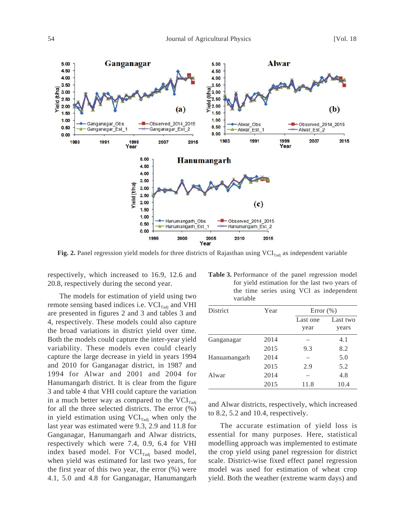

**Fig. 2.** Panel regression yield models for three districts of Rajasthan using  $VCI_{\text{radi}}$  as independent variable

respectively, which increased to 16.9, 12.6 and 20.8, respectively during the second year.

The models for estimation of yield using two remote sensing based indices i.e.  $VCI_{\text{radi}}$  and VHI are presented in figures 2 and 3 and tables 3 and 4, respectively. These models could also capture the broad variations in district yield over time. Both the models could capture the inter-year yield variability. These models even could clearly capture the large decrease in yield in years 1994 and 2010 for Ganganagar district, in 1987 and 1994 for Alwar and 2001 and 2004 for Hanumangarh district. It is clear from the figure 3 and table 4 that VHI could capture the variation in a much better way as compared to the  $\text{VCI}_{\text{Tadi}}$ for all the three selected districts. The error (%) in yield estimation using  $VCI_{\text{rad}i}$  when only the last year was estimated were 9.3, 2.9 and 11.8 for Ganganagar, Hanumangarh and Alwar districts, respectively which were 7.4, 0.9, 6.4 for VHI index based model. For  $VCI_{\text{radi}}$  based model, when yield was estimated for last two years, for the first year of this two year, the error (%) were 4.1, 5.0 and 4.8 for Ganganagar, Hanumangarh

| Year |                  | Error $(\% )$     |  |  |
|------|------------------|-------------------|--|--|
|      | Last one<br>year | Last two<br>years |  |  |
| 2014 |                  | 4.1               |  |  |
| 2015 | 9.3              | 8.2               |  |  |
| 2014 |                  | 5.0               |  |  |
| 2015 | 2.9              | 5.2               |  |  |
| 2014 |                  | 4.8               |  |  |
| 2015 | 11.8             | 10.4              |  |  |
|      |                  |                   |  |  |

| Table 3. Performance of the panel regression model |
|----------------------------------------------------|
| for yield estimation for the last two years of     |
| the time series using VCI as independent           |
| variable                                           |

and Alwar districts, respectively, which increased to 8.2, 5.2 and 10.4, respectively.

The accurate estimation of yield loss is essential for many purposes. Here, statistical modelling approach was implemented to estimate the crop yield using panel regression for district scale. District-wise fixed effect panel regression model was used for estimation of wheat crop yield. Both the weather (extreme warm days) and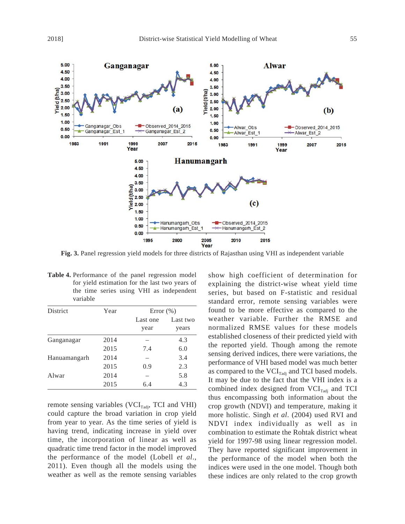

**Fig. 3.** Panel regression yield models for three districts of Rajasthan using VHI as independent variable

|                 | <b>Table 4.</b> Performance of the panel regression model<br>for yield estimation for the last two years of<br>the time series using VHI as independent<br>variable |      |  |               |  |
|-----------------|---------------------------------------------------------------------------------------------------------------------------------------------------------------------|------|--|---------------|--|
| <b>District</b> |                                                                                                                                                                     | Year |  | Error $(\% )$ |  |

| District     | Year | Error $(\% )$    |                   |  |
|--------------|------|------------------|-------------------|--|
|              |      | Last one<br>year | Last two<br>years |  |
| Ganganagar   | 2014 |                  | 4.3               |  |
|              | 2015 | 7.4              | 6.0               |  |
| Hanuamangarh | 2014 |                  | 3.4               |  |
|              | 2015 | 0.9              | 2.3               |  |
| Alwar        | 2014 |                  | 5.8               |  |
|              | 2015 | 6.4              | 4.3               |  |

remote sensing variables (VCI $_{\text{radi}}$ , TCI and VHI) could capture the broad variation in crop yield from year to year. As the time series of yield is having trend, indicating increase in yield over time, the incorporation of linear as well as quadratic time trend factor in the model improved the performance of the model (Lobell *et al*., 2011). Even though all the models using the weather as well as the remote sensing variables show high coefficient of determination for explaining the district-wise wheat yield time series, but based on F-statistic and residual standard error, remote sensing variables were found to be more effective as compared to the weather variable. Further the RMSE and normalized RMSE values for these models established closeness of their predicted yield with the reported yield. Though among the remote sensing derived indices, there were variations, the performance of VHI based model was much better as compared to the  $VCI<sub>Tadi</sub>$  and TCI based models. It may be due to the fact that the VHI index is a combined index designed from  $VCI_{\text{radi}}$  and TCI thus encompassing both information about the crop growth (NDVI) and temperature, making it more holistic. Singh *et al*. (2004) used RVI and NDVI index individually as well as in combination to estimate the Rohtak district wheat yield for 1997-98 using linear regression model. They have reported significant improvement in the performance of the model when both the indices were used in the one model. Though both these indices are only related to the crop growth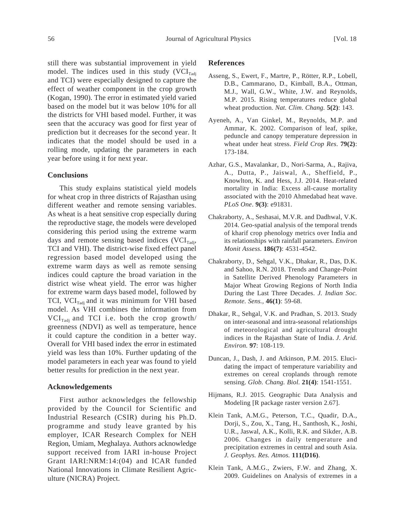still there was substantial improvement in yield model. The indices used in this study  $(VCI<sub>Tadi</sub>)$ and TCI) were especially designed to capture the effect of weather component in the crop growth (Kogan, 1990). The error in estimated yield varied based on the model but it was below 10% for all the districts for VHI based model. Further, it was seen that the accuracy was good for first year of prediction but it decreases for the second year. It indicates that the model should be used in a rolling mode, updating the parameters in each year before using it for next year.

# **Conclusions**

This study explains statistical yield models for wheat crop in three districts of Rajasthan using different weather and remote sensing variables. As wheat is a heat sensitive crop especially during the reproductive stage, the models were developed considering this period using the extreme warm days and remote sensing based indices  $(VCI<sub>Tadi</sub>$ , TCI and VHI). The district-wise fixed effect panel regression based model developed using the extreme warm days as well as remote sensing indices could capture the broad variation in the district wise wheat yield. The error was higher for extreme warm days based model, followed by TCI,  $\text{VCI}_{\text{radi}}$  and it was minimum for VHI based model. As VHI combines the information from  $VCI_{\text{radi}}$  and TCI i.e. both the crop growth/ greenness (NDVI) as well as temperature, hence it could capture the condition in a better way. Overall for VHI based index the error in estimated yield was less than 10%. Further updating of the model parameters in each year was found to yield better results for prediction in the next year.

## **Acknowledgements**

First author acknowledges the fellowship provided by the Council for Scientific and Industrial Research (CSIR) during his Ph.D. programme and study leave granted by his employer, ICAR Research Complex for NEH Region, Umiam, Meghalaya. Authors acknowledge support received from IARI in-house Project Grant IARI:NRM:14:(04) and ICAR funded National Innovations in Climate Resilient Agriculture (NICRA) Project.

#### **References**

- Asseng, S., Ewert, F., Martre, P., Rötter, R.P., Lobell, D.B., Cammarano, D., Kimball, B.A., Ottman, M.J., Wall, G.W., White, J.W. and Reynolds, M.P. 2015. Rising temperatures reduce global wheat production. *Nat. Clim. Chang.* **5(2)**: 143.
- Ayeneh, A., Van Ginkel, M., Reynolds, M.P. and Ammar, K. 2002. Comparison of leaf, spike, peduncle and canopy temperature depression in wheat under heat stress. *Field Crop Res*. **79(2)**: 173-184.
- Azhar, G.S., Mavalankar, D., Nori-Sarma, A., Rajiva, A., Dutta, P., Jaiswal, A., Sheffield, P., Knowlton, K. and Hess, J.J. 2014. Heat-related mortality in India: Excess all-cause mortality associated with the 2010 Ahmedabad heat wave. *PLoS One*. **9(3)**: e91831.
- Chakraborty, A., Seshasai, M.V.R. and Dadhwal, V.K. 2014. Geo-spatial analysis of the temporal trends of kharif crop phenology metrics over India and its relationships with rainfall parameters. *Environ Monit Assess.* **186(7)**: 4531-4542.
- Chakraborty, D., Sehgal, V.K., Dhakar, R., Das, D.K. and Sahoo, R.N. 2018. Trends and Change-Point in Satellite Derived Phenology Parameters in Major Wheat Growing Regions of North India During the Last Three Decades. *J. Indian Soc. Remote. Sens.*, **46(1)**: 59-68.
- Dhakar, R., Sehgal, V.K. and Pradhan, S. 2013. Study on inter-seasonal and intra-seasonal relationships of meteorological and agricultural drought indices in the Rajasthan State of India. *J. Arid. Environ.* **97**: 108-119.
- Duncan, J., Dash, J. and Atkinson, P.M. 2015. Elucidating the impact of temperature variability and extremes on cereal croplands through remote sensing. *Glob. Chang. Biol.* **21(4)**: 1541-1551.
- Hijmans, R.J. 2015. Geographic Data Analysis and Modeling [R package raster version 2.67].
- Klein Tank, A.M.G., Peterson, T.C., Quadir, D.A., Dorji, S., Zou, X., Tang, H., Santhosh, K., Joshi, U.R., Jaswal, A.K., Kolli, R.K. and Sikder, A.B. 2006. Changes in daily temperature and precipitation extremes in central and south Asia. *J. Geophys. Res. Atmos.* **111(D16)**.
- Klein Tank, A.M.G., Zwiers, F.W. and Zhang, X. 2009. Guidelines on Analysis of extremes in a